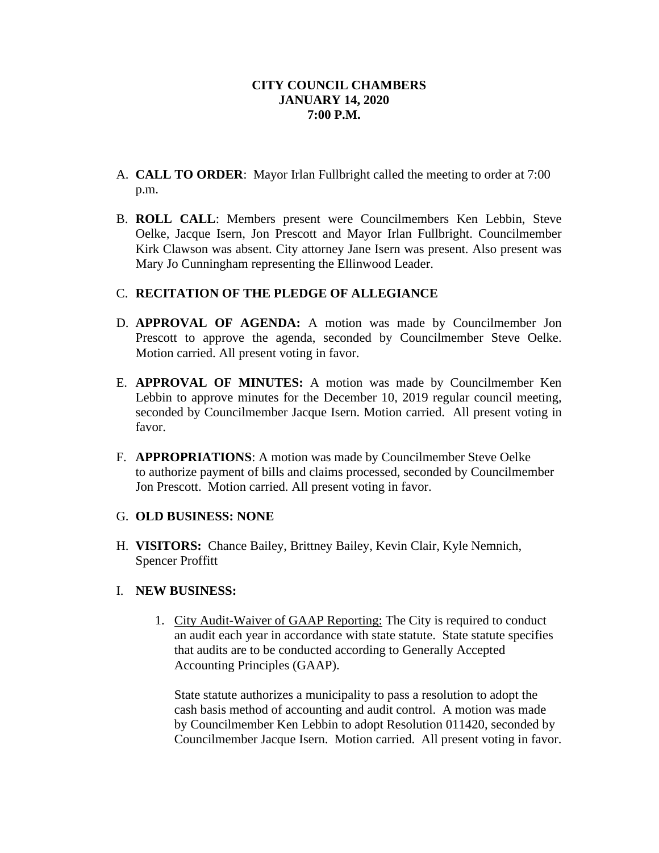- A. **CALL TO ORDER**: Mayor Irlan Fullbright called the meeting to order at 7:00 p.m.
- B. **ROLL CALL**: Members present were Councilmembers Ken Lebbin, Steve Oelke, Jacque Isern, Jon Prescott and Mayor Irlan Fullbright. Councilmember Kirk Clawson was absent. City attorney Jane Isern was present. Also present was Mary Jo Cunningham representing the Ellinwood Leader.

## C. **RECITATION OF THE PLEDGE OF ALLEGIANCE**

- D. **APPROVAL OF AGENDA:** A motion was made by Councilmember Jon Prescott to approve the agenda, seconded by Councilmember Steve Oelke. Motion carried. All present voting in favor.
- E. **APPROVAL OF MINUTES:** A motion was made by Councilmember Ken Lebbin to approve minutes for the December 10, 2019 regular council meeting, seconded by Councilmember Jacque Isern. Motion carried. All present voting in favor.
- F. **APPROPRIATIONS**: A motion was made by Councilmember Steve Oelke to authorize payment of bills and claims processed, seconded by Councilmember Jon Prescott. Motion carried. All present voting in favor.

### G. **OLD BUSINESS: NONE**

H. **VISITORS:** Chance Bailey, Brittney Bailey, Kevin Clair, Kyle Nemnich, Spencer Proffitt

# I. **NEW BUSINESS:**

1. City Audit-Waiver of GAAP Reporting: The City is required to conduct an audit each year in accordance with state statute. State statute specifies that audits are to be conducted according to Generally Accepted Accounting Principles (GAAP).

State statute authorizes a municipality to pass a resolution to adopt the cash basis method of accounting and audit control. A motion was made by Councilmember Ken Lebbin to adopt Resolution 011420, seconded by Councilmember Jacque Isern. Motion carried. All present voting in favor.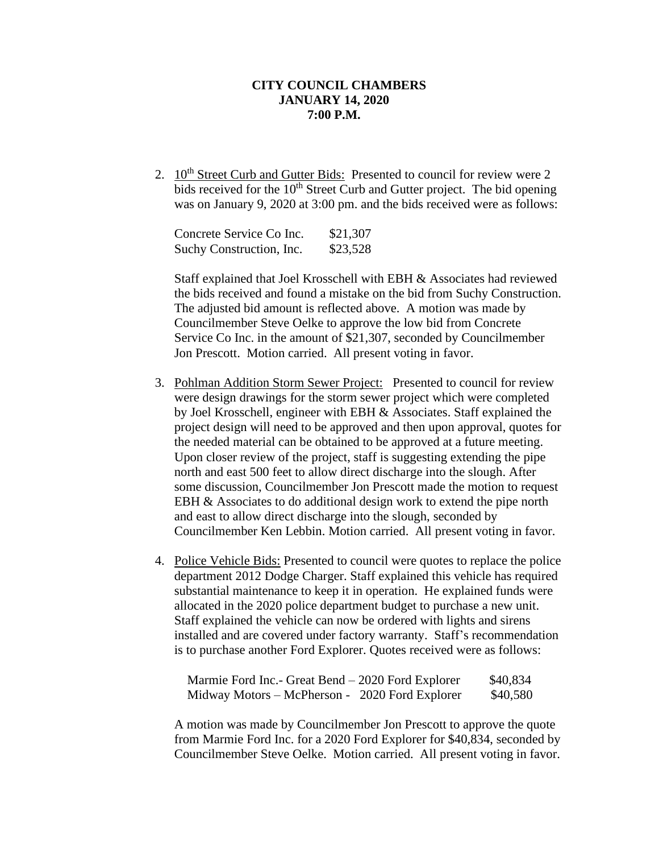2. 10<sup>th</sup> Street Curb and Gutter Bids: Presented to council for review were 2 bids received for the  $10<sup>th</sup>$  Street Curb and Gutter project. The bid opening was on January 9, 2020 at 3:00 pm. and the bids received were as follows:

| Concrete Service Co Inc. | \$21,307 |
|--------------------------|----------|
| Suchy Construction, Inc. | \$23,528 |

Staff explained that Joel Krosschell with EBH & Associates had reviewed the bids received and found a mistake on the bid from Suchy Construction. The adjusted bid amount is reflected above. A motion was made by Councilmember Steve Oelke to approve the low bid from Concrete Service Co Inc. in the amount of \$21,307, seconded by Councilmember Jon Prescott. Motion carried. All present voting in favor.

- 3. Pohlman Addition Storm Sewer Project: Presented to council for review were design drawings for the storm sewer project which were completed by Joel Krosschell, engineer with EBH & Associates. Staff explained the project design will need to be approved and then upon approval, quotes for the needed material can be obtained to be approved at a future meeting. Upon closer review of the project, staff is suggesting extending the pipe north and east 500 feet to allow direct discharge into the slough. After some discussion, Councilmember Jon Prescott made the motion to request EBH & Associates to do additional design work to extend the pipe north and east to allow direct discharge into the slough, seconded by Councilmember Ken Lebbin. Motion carried. All present voting in favor.
- 4. Police Vehicle Bids: Presented to council were quotes to replace the police department 2012 Dodge Charger. Staff explained this vehicle has required substantial maintenance to keep it in operation. He explained funds were allocated in the 2020 police department budget to purchase a new unit. Staff explained the vehicle can now be ordered with lights and sirens installed and are covered under factory warranty. Staff's recommendation is to purchase another Ford Explorer. Quotes received were as follows:

| Marmie Ford Inc.- Great Bend – 2020 Ford Explorer | \$40,834 |          |
|---------------------------------------------------|----------|----------|
| Midway Motors – McPherson - 2020 Ford Explorer    |          | \$40,580 |

A motion was made by Councilmember Jon Prescott to approve the quote from Marmie Ford Inc. for a 2020 Ford Explorer for \$40,834, seconded by Councilmember Steve Oelke. Motion carried. All present voting in favor.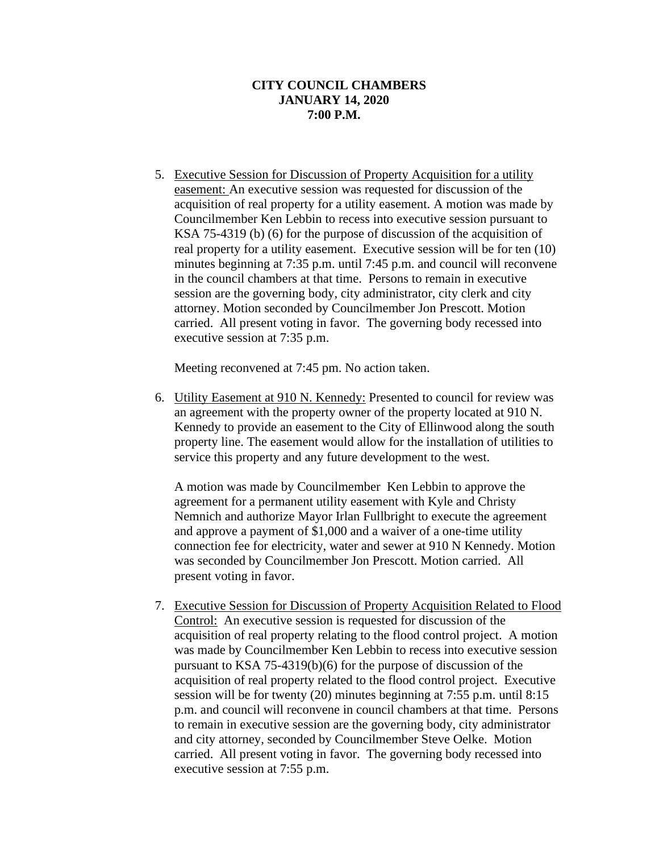5. Executive Session for Discussion of Property Acquisition for a utility easement: An executive session was requested for discussion of the acquisition of real property for a utility easement. A motion was made by Councilmember Ken Lebbin to recess into executive session pursuant to KSA 75-4319 (b) (6) for the purpose of discussion of the acquisition of real property for a utility easement. Executive session will be for ten (10) minutes beginning at 7:35 p.m. until 7:45 p.m. and council will reconvene in the council chambers at that time. Persons to remain in executive session are the governing body, city administrator, city clerk and city attorney. Motion seconded by Councilmember Jon Prescott. Motion carried. All present voting in favor. The governing body recessed into executive session at 7:35 p.m.

Meeting reconvened at 7:45 pm. No action taken.

6. Utility Easement at 910 N. Kennedy: Presented to council for review was an agreement with the property owner of the property located at 910 N. Kennedy to provide an easement to the City of Ellinwood along the south property line. The easement would allow for the installation of utilities to service this property and any future development to the west.

A motion was made by Councilmember Ken Lebbin to approve the agreement for a permanent utility easement with Kyle and Christy Nemnich and authorize Mayor Irlan Fullbright to execute the agreement and approve a payment of \$1,000 and a waiver of a one-time utility connection fee for electricity, water and sewer at 910 N Kennedy. Motion was seconded by Councilmember Jon Prescott. Motion carried. All present voting in favor.

7. Executive Session for Discussion of Property Acquisition Related to Flood Control: An executive session is requested for discussion of the acquisition of real property relating to the flood control project. A motion was made by Councilmember Ken Lebbin to recess into executive session pursuant to KSA 75-4319(b)(6) for the purpose of discussion of the acquisition of real property related to the flood control project. Executive session will be for twenty (20) minutes beginning at 7:55 p.m. until 8:15 p.m. and council will reconvene in council chambers at that time. Persons to remain in executive session are the governing body, city administrator and city attorney, seconded by Councilmember Steve Oelke. Motion carried. All present voting in favor. The governing body recessed into executive session at 7:55 p.m.